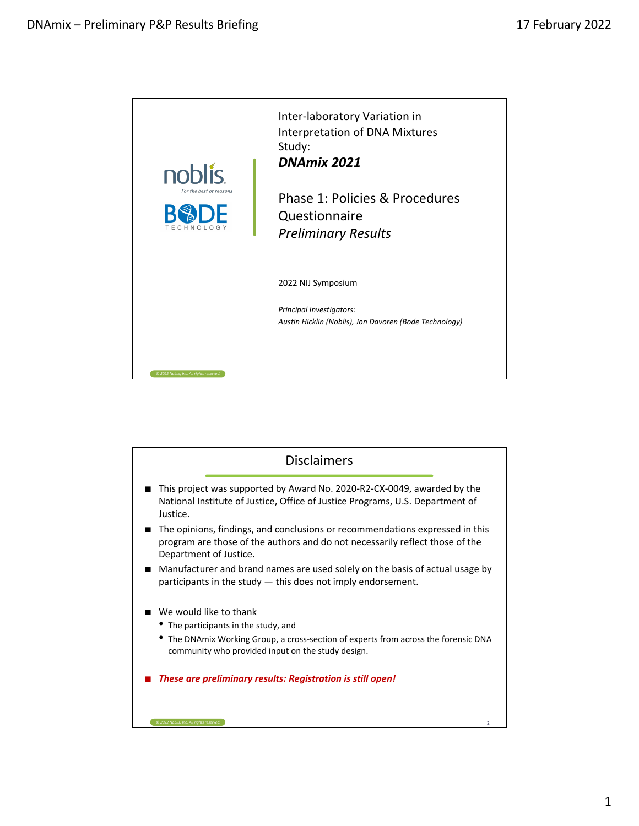

| <b>Disclaimers</b>                                                                                                                                                                     |  |
|----------------------------------------------------------------------------------------------------------------------------------------------------------------------------------------|--|
| This project was supported by Award No. 2020-R2-CX-0049, awarded by the<br>National Institute of Justice, Office of Justice Programs, U.S. Department of<br>Justice.                   |  |
| The opinions, findings, and conclusions or recommendations expressed in this<br>program are those of the authors and do not necessarily reflect those of the<br>Department of Justice. |  |
| Manufacturer and brand names are used solely on the basis of actual usage by<br>participants in the study – this does not imply endorsement.                                           |  |
| We would like to thank                                                                                                                                                                 |  |
| • The participants in the study, and                                                                                                                                                   |  |
| The DNAmix Working Group, a cross-section of experts from across the forensic DNA<br>community who provided input on the study design.                                                 |  |
| These are preliminary results: Registration is still open!                                                                                                                             |  |
|                                                                                                                                                                                        |  |
| @ 2022 Noblis, Inc. All rights reserved                                                                                                                                                |  |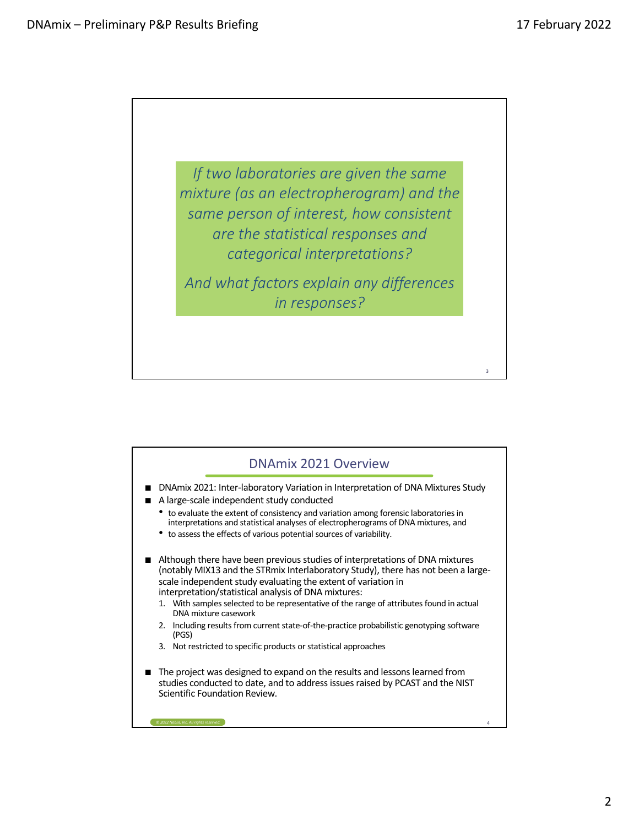3

*If two laboratories are given the same mixture (as an electropherogram) and the same person of interest, how consistent are the statistical responses and categorical interpretations? And what factors explain any differences* 

*in responses?* 

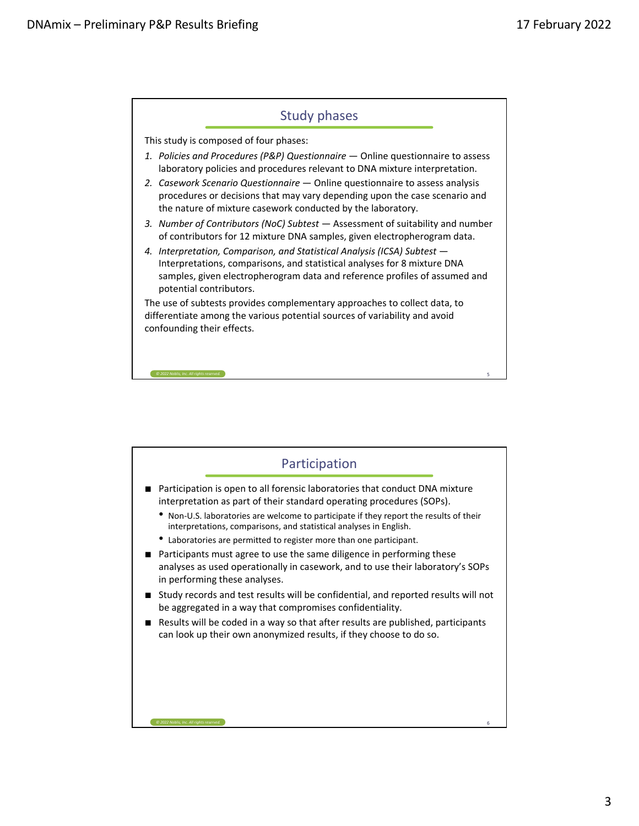

| Participation                                                                                                                                                                            |  |
|------------------------------------------------------------------------------------------------------------------------------------------------------------------------------------------|--|
| Participation is open to all forensic laboratories that conduct DNA mixture<br>interpretation as part of their standard operating procedures (SOPs).                                     |  |
| Non-U.S. laboratories are welcome to participate if they report the results of their<br>interpretations, comparisons, and statistical analyses in English.                               |  |
| Laboratories are permitted to register more than one participant.                                                                                                                        |  |
| Participants must agree to use the same diligence in performing these<br>analyses as used operationally in casework, and to use their laboratory's SOPs<br>in performing these analyses. |  |
| Study records and test results will be confidential, and reported results will not<br>be aggregated in a way that compromises confidentiality.                                           |  |
| Results will be coded in a way so that after results are published, participants<br>can look up their own anonymized results, if they choose to do so.                                   |  |
|                                                                                                                                                                                          |  |
|                                                                                                                                                                                          |  |
|                                                                                                                                                                                          |  |
| @ 2022 Noblis, Inc. All rights reserved.<br>6                                                                                                                                            |  |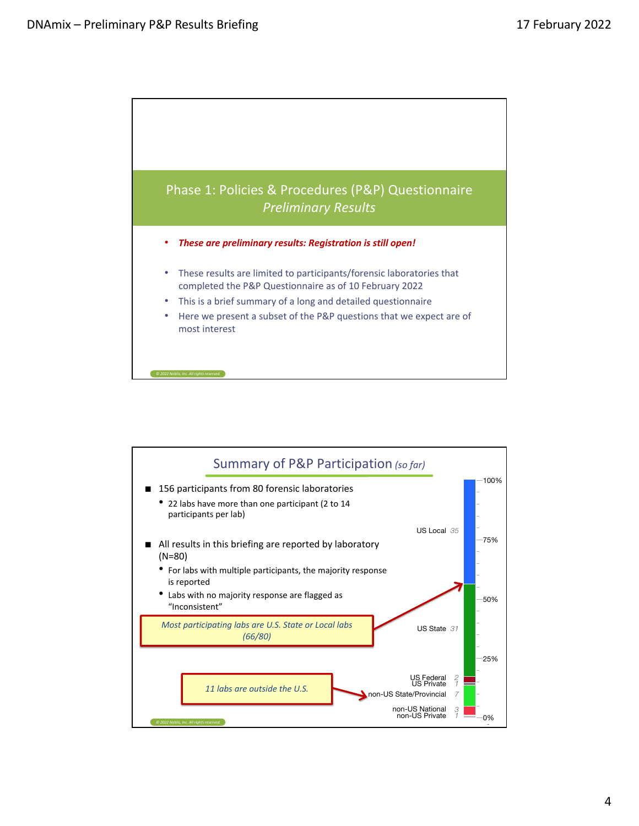

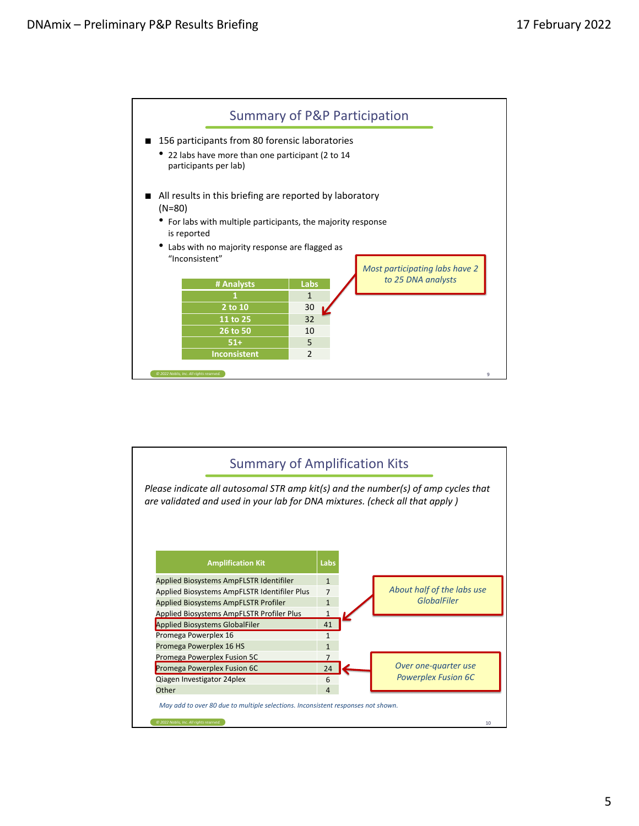

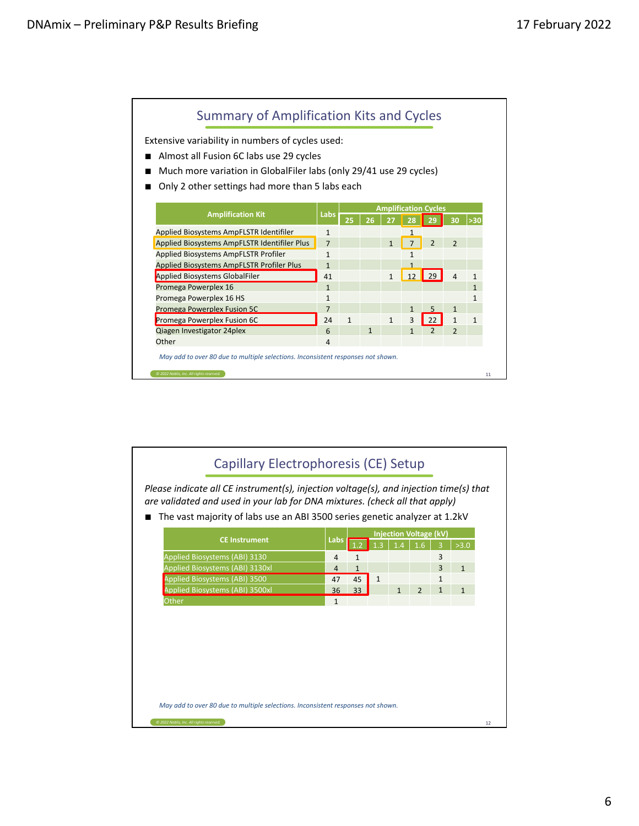

| are validated and used in your lab for DNA mixtures. (check all that apply)<br>The vast majority of labs use an ABI 3500 series genetic analyzer at 1.2kV |                |                 |              |              | <b>Injection Voltage (kV)</b> |              |              |
|-----------------------------------------------------------------------------------------------------------------------------------------------------------|----------------|-----------------|--------------|--------------|-------------------------------|--------------|--------------|
| <b>CE Instrument</b>                                                                                                                                      | Labs           |                 |              |              | 1.6                           |              | >3.0         |
| Applied Biosystems (ABI) 3130                                                                                                                             | 4              | $\mathbf{1}$    |              |              |                               | 3            |              |
| Applied Biosystems (ABI) 3130xl                                                                                                                           | $\overline{4}$ | $\mathbf{1}$    |              |              |                               | 3            | $\mathbf{1}$ |
| Applied Biosystems (ABI) 3500                                                                                                                             | 47             | 45              | $\mathbf{1}$ |              |                               | 1            |              |
| Applied Biosystems (ABI) 3500xl                                                                                                                           | 36             | 33 <sup>°</sup> |              | $\mathbf{1}$ | $\overline{2}$                | $\mathbf{1}$ | $\mathbf{1}$ |
| Other                                                                                                                                                     | $\mathbf{1}$   |                 |              |              |                               |              |              |
|                                                                                                                                                           |                |                 |              |              |                               |              |              |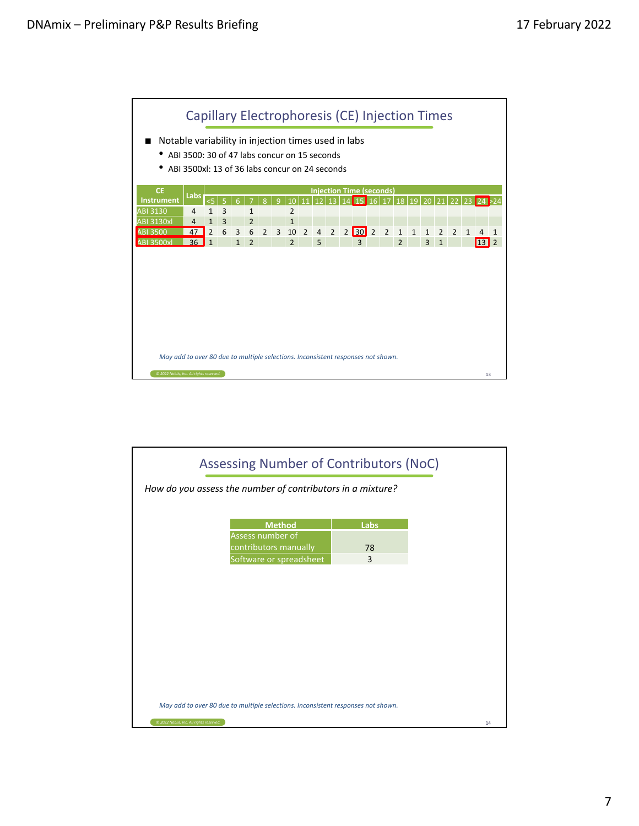

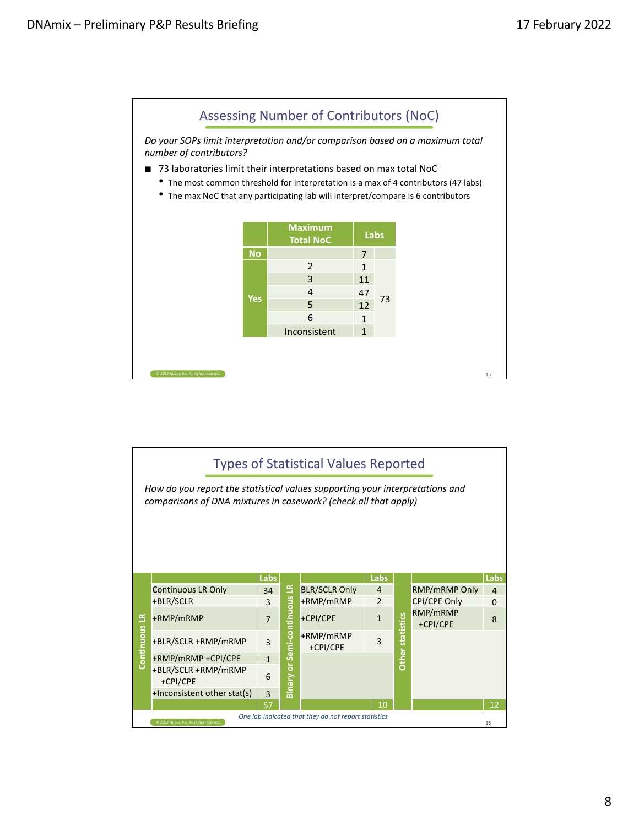

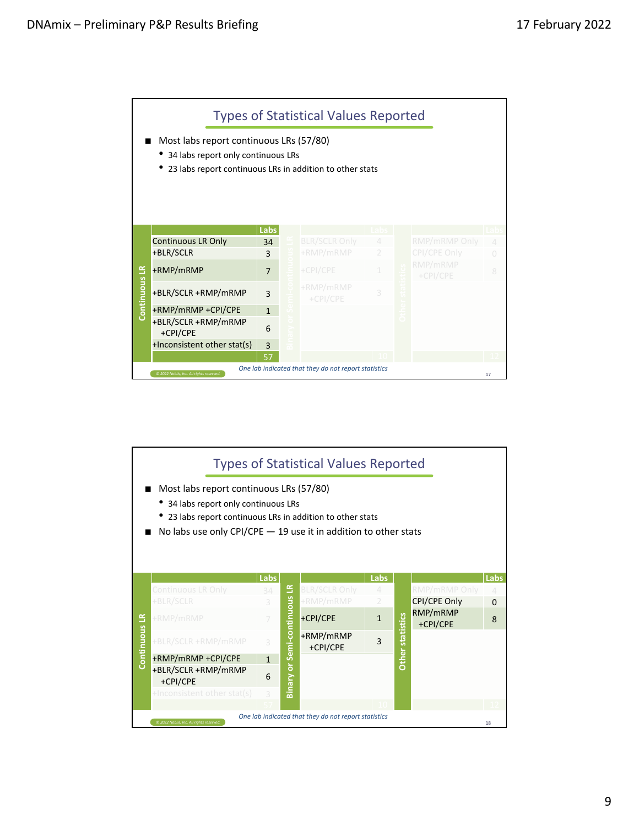

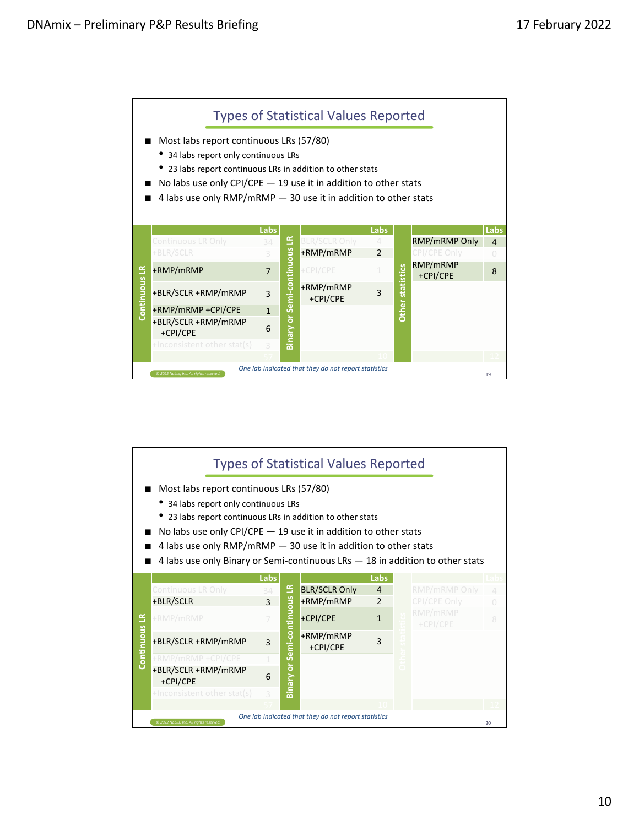

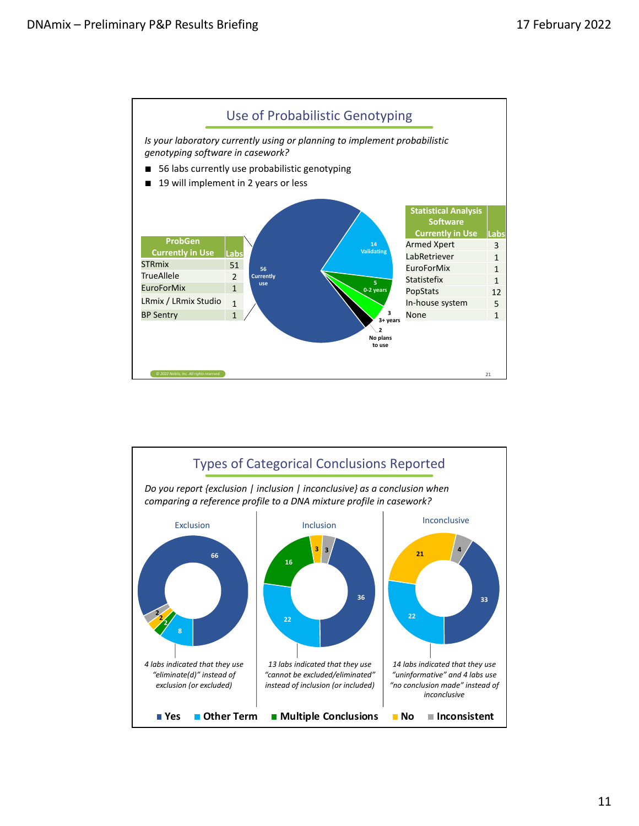

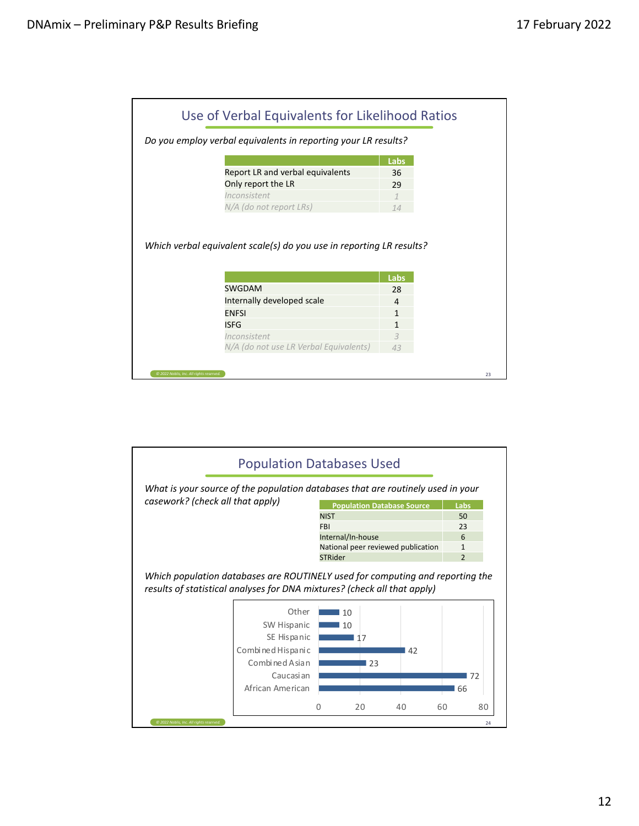| Use of Verbal Equivalents for Likelihood Ratios                      |      |  |
|----------------------------------------------------------------------|------|--|
| Do you employ verbal equivalents in reporting your LR results?       |      |  |
|                                                                      | Labs |  |
| Report LR and verbal equivalents                                     | 36   |  |
| Only report the LR                                                   | 29   |  |
| Inconsistent                                                         |      |  |
| N/A (do not report LRs)                                              | 14   |  |
| Which verbal equivalent scale(s) do you use in reporting LR results? |      |  |
|                                                                      | Labs |  |
| <b>SWGDAM</b>                                                        | 28   |  |
| Internally developed scale                                           | 4    |  |
| <b>ENFSI</b>                                                         | 1    |  |
| <b>ISFG</b>                                                          | 1    |  |
| Inconsistent                                                         | 3    |  |
| N/A (do not use LR Verbal Equivalents)                               | 43   |  |